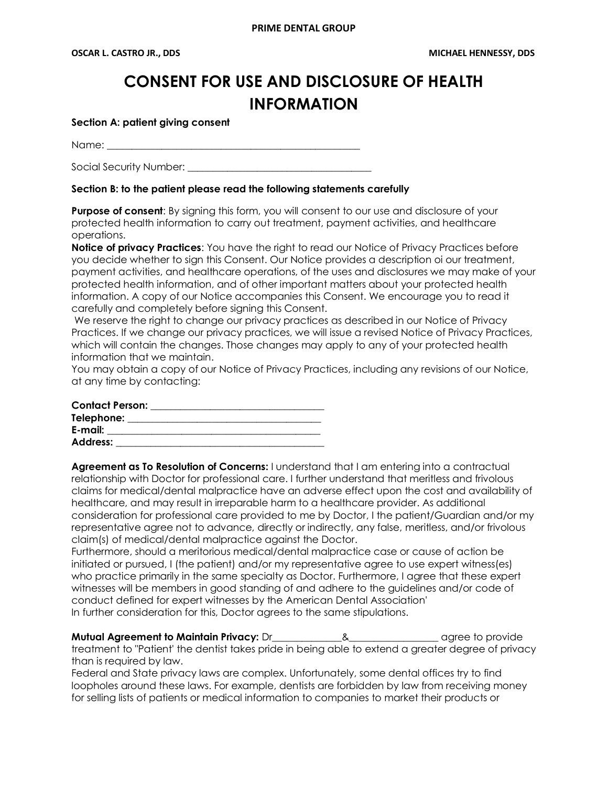# **CONSENT FOR USE AND DISCLOSURE OF HEALTH INFORMATION**

**Section A: patient giving consent**

Name: 2008. 2008. 2008. 2008. 2008. 2008. 2009. 2009. 2012. 2013. 2014. 2015. 2016. 2017. 2018. 2017. 2017. 20<br>2016. 2017. 2018. 2018. 2018. 2018. 2018. 2018. 2018. 2019. 2018. 2018. 2019. 2018. 2018. 2019. 2019. 2019. 20

Social Security Number:

### **Section B: to the patient please read the following statements carefully**

**Purpose of consent:** By signing this form, you will consent to our use and disclosure of your protected health information to carry out treatment, payment activities, and healthcare operations.

**Notice of privacy Practices**: You have the right to read our Notice of Privacy Practices before you decide whether to sign this Consent. Our Notice provides a description oi our treatment, payment activities, and healthcare operations, of the uses and disclosures we may make of your protected health information, and of other important matters about your protected health information. A copy of our Notice accompanies this Consent. We encourage you to read it carefully and completely before signing this Consent.

We reserve the right to change our privacy practices as described in our Notice of Privacy Practices. If we change our privacy practices, we will issue a revised Notice of Privacy Practices, which will contain the changes. Those changes may apply to any of your protected health information that we maintain.

You may obtain a copy of our Notice of Privacy Practices, including any revisions of our Notice, at any time by contacting:

| <b>Contact Person:</b> |  |
|------------------------|--|
| Telephone:             |  |
| E-mail:                |  |
| <b>Address:</b>        |  |

**Agreement as To Resolution of Concerns:** I understand that I am entering into a contractual relationship with Doctor for professional care. I further understand that meritless and frivolous claims for medical/dental malpractice have an adverse effect upon the cost and availability of healthcare, and may result in irreparable harm to a healthcare provider. As additional consideration for professional care provided to me by Doctor, I the patient/Guardian and/or my representative agree not to advance, directly or indirectly, any false, meritless, and/or frivolous claim(s) of medical/dental malpractice against the Doctor.

Furthermore, should a meritorious medical/dental malpractice case or cause of action be initiated or pursued, I (the patient) and/or my representative agree to use expert witness(es) who practice primarily in the same specialty as Doctor. Furthermore, I agree that these expert witnesses will be members in good standing of and adhere to the guidelines and/or code of conduct defined for expert witnesses by the American Dental Association' In further consideration for this, Doctor agrees to the same stipulations.

**Mutual Agreement to Maintain Privacy:** Dr\_\_\_\_\_\_\_\_\_\_\_\_\_\_&\_\_\_\_\_\_\_\_\_\_\_\_\_\_\_\_\_\_ agree to provide treatment to "Patient' the dentist takes pride in being able to extend a greater degree of privacy than is required by law.

Federal and State privacy laws are complex. Unfortunately, some dental offices try to find loopholes around these laws. For example, dentists are forbidden by law from receiving money for selling lists of patients or medical information to companies to market their products or